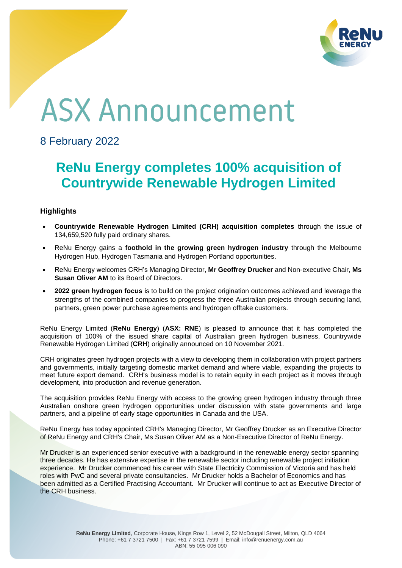

## **ASX Announcement**

## 8 February 2022

## **ReNu Energy completes 100% acquisition of Countrywide Renewable Hydrogen Limited**

## **Highlights**

- **Countrywide Renewable Hydrogen Limited (CRH) acquisition completes** through the issue of 134,659,520 fully paid ordinary shares.
- ReNu Energy gains a **foothold in the growing green hydrogen industry** through the Melbourne Hydrogen Hub, Hydrogen Tasmania and Hydrogen Portland opportunities.
- ReNu Energy welcomes CRH's Managing Director, **Mr Geoffrey Drucker** and Non-executive Chair, **Ms Susan Oliver AM** to its Board of Directors.
- **2022 green hydrogen focus** is to build on the project origination outcomes achieved and leverage the strengths of the combined companies to progress the three Australian projects through securing land, partners, green power purchase agreements and hydrogen offtake customers.

ReNu Energy Limited (**ReNu Energy**) (**ASX: RNE**) is pleased to announce that it has completed the acquisition of 100% of the issued share capital of Australian green hydrogen business, Countrywide Renewable Hydrogen Limited (**CRH**) originally announced on 10 November 2021.

CRH originates green hydrogen projects with a view to developing them in collaboration with project partners and governments, initially targeting domestic market demand and where viable, expanding the projects to meet future export demand. CRH's business model is to retain equity in each project as it moves through development, into production and revenue generation.

The acquisition provides ReNu Energy with access to the growing green hydrogen industry through three Australian onshore green hydrogen opportunities under discussion with state governments and large partners, and a pipeline of early stage opportunities in Canada and the USA.

ReNu Energy has today appointed CRH's Managing Director, Mr Geoffrey Drucker as an Executive Director of ReNu Energy and CRH's Chair, Ms Susan Oliver AM as a Non-Executive Director of ReNu Energy.

Mr Drucker is an experienced senior executive with a background in the renewable energy sector spanning three decades. He has extensive expertise in the renewable sector including renewable project initiation experience. Mr Drucker commenced his career with State Electricity Commission of Victoria and has held roles with PwC and several private consultancies. Mr Drucker holds a Bachelor of Economics and has been admitted as a Certified Practising Accountant. Mr Drucker will continue to act as Executive Director of the CRH business.